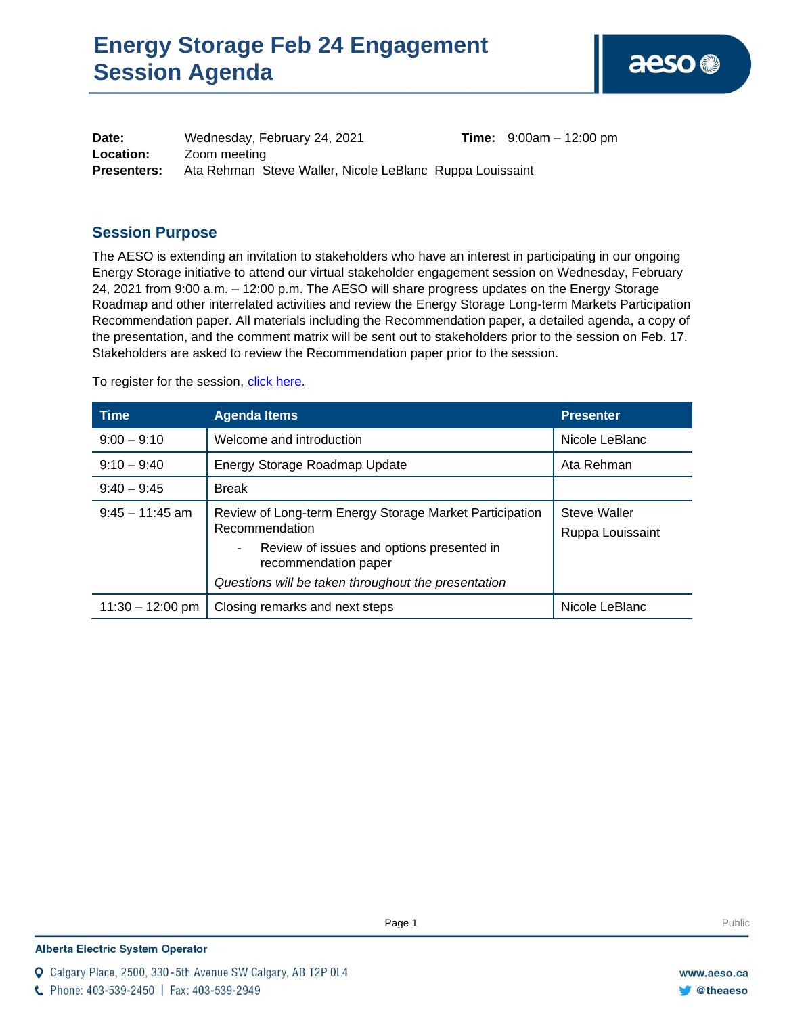**Date:** Wednesday, February 24, 2021 **Time:** 9:00am – 12:00 pm **Location:** Zoom meeting **Presenters:** Ata Rehman Steve Waller, Nicole LeBlanc Ruppa Louissaint

## **Session Purpose**

The AESO is extending an invitation to stakeholders who have an interest in participating in our ongoing Energy Storage initiative to attend our virtual stakeholder engagement session on Wednesday, February 24, 2021 from 9:00 a.m. – 12:00 p.m. The AESO will share progress updates on the Energy Storage Roadmap and other interrelated activities and review the Energy Storage Long-term Markets Participation Recommendation paper. All materials including the Recommendation paper, a detailed agenda, a copy of the presentation, and the comment matrix will be sent out to stakeholders prior to the session on Feb. 17. Stakeholders are asked to review the Recommendation paper prior to the session.

To register for the session, [click here.](https://us02web.zoom.us/webinar/register/WN_OGtXxzFwTvu9zLB6-UYgYg)

| <b>Time</b>        | <b>Agenda Items</b>                                                                           | <b>Presenter</b> |
|--------------------|-----------------------------------------------------------------------------------------------|------------------|
| $9:00 - 9:10$      | Welcome and introduction                                                                      | Nicole LeBlanc   |
| $9:10 - 9:40$      | Energy Storage Roadmap Update                                                                 | Ata Rehman       |
| $9:40 - 9:45$      | <b>Break</b>                                                                                  |                  |
| $9:45 - 11:45$ am  | Review of Long-term Energy Storage Market Participation                                       | Steve Waller     |
|                    | Recommendation                                                                                | Ruppa Louissaint |
|                    | Review of issues and options presented in<br>$\overline{\phantom{a}}$<br>recommendation paper |                  |
|                    | Questions will be taken throughout the presentation                                           |                  |
| $11:30 - 12:00$ pm | Closing remarks and next steps                                                                | Nicole LeBlanc   |

C Phone: 403-539-2450 | Fax: 403-539-2949

Q Calgary Place, 2500, 330-5th Avenue SW Calgary, AB T2P 0L4